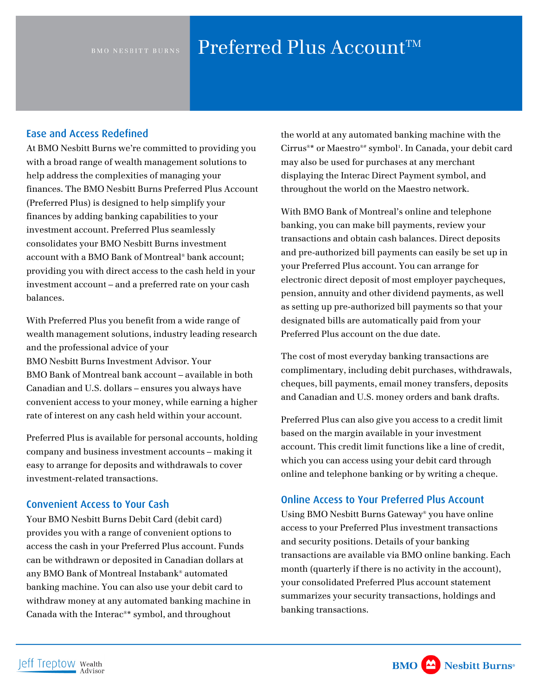# BMO NESBITT BURNS Preferred Plus Account<sup>TM</sup>

### Ease and Access Redefined

At BMO Nesbitt Burns we're committed to providing you with a broad range of wealth management solutions to help address the complexities of managing your finances. The BMO Nesbitt Burns Preferred Plus Account (Preferred Plus) is designed to help simplify your finances by adding banking capabilities to your investment account. Preferred Plus seamlessly consolidates your BMO Nesbitt Burns investment account with a BMO Bank of Montreal® bank account; providing you with direct access to the cash held in your investment account – and a preferred rate on your cash balances.

With Preferred Plus you benefit from a wide range of wealth management solutions, industry leading research and the professional advice of your BMO Nesbitt Burns Investment Advisor. Your BMO Bank of Montreal bank account – available in both Canadian and U.S. dollars – ensures you always have convenient access to your money, while earning a higher rate of interest on any cash held within your account.

Preferred Plus is available for personal accounts, holding company and business investment accounts – making it easy to arrange for deposits and withdrawals to cover investment-related transactions.

### Convenient Access to Your Cash

Your BMO Nesbitt Burns Debit Card (debit card) provides you with a range of convenient options to access the cash in your Preferred Plus account. Funds can be withdrawn or deposited in Canadian dollars at any BMO Bank of Montreal Instabank® automated banking machine. You can also use your debit card to withdraw money at any automated banking machine in Canada with the Interac®\* symbol, and throughout

the world at any automated banking machine with the Cirrus®\* or Maestro®# symbol1 . In Canada, your debit card may also be used for purchases at any merchant displaying the Interac Direct Payment symbol, and throughout the world on the Maestro network.

With BMO Bank of Montreal's online and telephone banking, you can make bill payments, review your transactions and obtain cash balances. Direct deposits and pre-authorized bill payments can easily be set up in your Preferred Plus account. You can arrange for electronic direct deposit of most employer paycheques, pension, annuity and other dividend payments, as well as setting up pre-authorized bill payments so that your designated bills are automatically paid from your Preferred Plus account on the due date.

The cost of most everyday banking transactions are complimentary, including debit purchases, withdrawals, cheques, bill payments, email money transfers, deposits and Canadian and U.S. money orders and bank drafts.

Preferred Plus can also give you access to a credit limit based on the margin available in your investment account. This credit limit functions like a line of credit, which you can access using your debit card through online and telephone banking or by writing a cheque.

### Online Access to Your Preferred Plus Account

Using BMO Nesbitt Burns Gateway® you have online access to your Preferred Plus investment transactions and security positions. Details of your banking transactions are available via BMO online banking. Each month (quarterly if there is no activity in the account), your consolidated Preferred Plus account statement summarizes your security transactions, holdings and banking transactions.